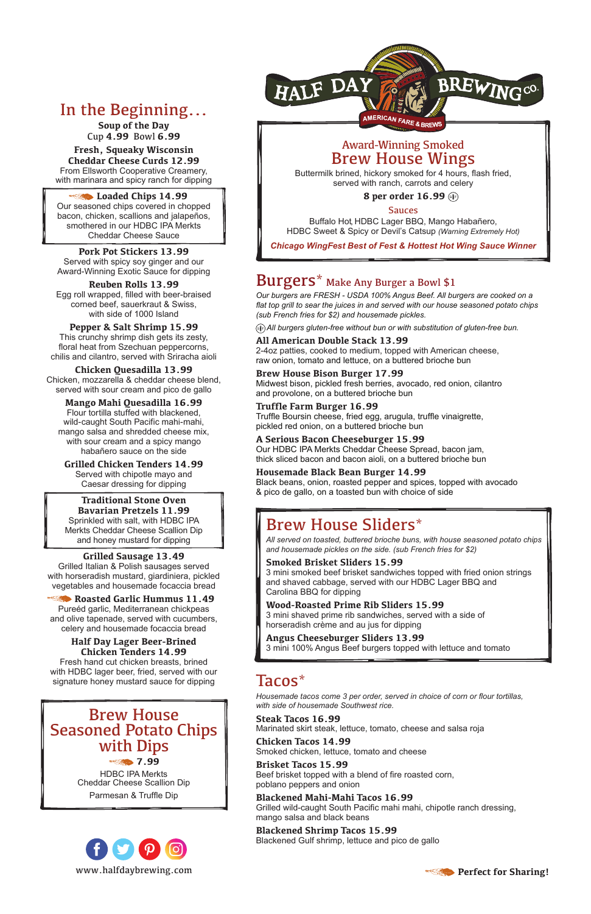

**Soup of the Day** Cup **4.99** Bowl **6.99**

**Fresh, Squeaky Wisconsin Cheddar Cheese Curds 12.99** From Ellsworth Cooperative Creamery, with marinara and spicy ranch for dipping

#### **Example 24.99** Loaded Chips 14.99

Our seasoned chips covered in chopped bacon, chicken, scallions and jalapeños, smothered in our HDBC IPA Merkts Cheddar Cheese Sauce

#### **Pork Pot Stickers 13.99** Served with spicy soy ginger and our Award-Winning Exotic Sauce for dipping

**Reuben Rolls 13.99** Egg roll wrapped, filled with beer-braised corned beef, sauerkraut & Swiss, with side of 1000 Island

#### **Pepper & Salt Shrimp 15.99**

This crunchy shrimp dish gets its zesty, floral heat from Szechuan peppercorns, chilis and cilantro, served with Sriracha aioli

**Chicken Quesadilla 13.99** Chicken, mozzarella & cheddar cheese blend, served with sour cream and pico de gallo

Roasted Garlic Hummus 11.49 Pureéd garlic, Mediterranean chickpeas and olive tapenade, served with cucumbers, celery and housemade focaccia bread

# **Mango Mahi Quesadilla 16.99**

Flour tortilla stuffed with blackened, wild-caught South Pacific mahi-mahi, mango salsa and shredded cheese mix, with sour cream and a spicy mango habañero sauce on the side

**Grilled Chicken Tenders 14.99** Served with chipotle mayo and Caesar dressing for dipping

**Traditional Stone Oven Bavarian Pretzels 11.99** Sprinkled with salt, with HDBC IPA Merkts Cheddar Cheese Scallion Dip and honey mustard for dipping

### **Grilled Sausage 13.49**

Grilled Italian & Polish sausages served with horseradish mustard, giardiniera, pickled vegetables and housemade focaccia bread

# **Half Day Lager Beer-Brined Chicken Tenders 14.99**

Fresh hand cut chicken breasts, brined with HDBC lager beer, fried, served with our signature honey mustard sauce for dipping



# Brew House Seasoned Potato Chips with Dips

 **7.99**

HDBC IPA Merkts Cheddar Cheese Scallion Dip

Parmesan & Truffle Dip

# Burgers\* Make Any Burger a Bowl \$1

*Our burgers are FRESH - USDA 100% Angus Beef. All burgers are cooked on a flat top grill to sear the juices in and served with our house seasoned potato chips (sub French fries for \$2) and housemade pickles.*

*All burgers gluten-free without bun or with substitution of gluten-free bun.*

# **All American Double Stack 13.99**

2-4oz patties, cooked to medium, topped with American cheese, raw onion, tomato and lettuce, on a buttered brioche bun

#### **Brew House Bison Burger 17.99**

Midwest bison, pickled fresh berries, avocado, red onion, cilantro and provolone, on a buttered brioche bun

#### **Truffle Farm Burger 16.99**

Truffle Boursin cheese, fried egg, arugula, truffle vinaigrette, pickled red onion, on a buttered brioche bun

#### **A Serious Bacon Cheeseburger 15.99**

Our HDBC IPA Merkts Cheddar Cheese Spread, bacon jam, thick sliced bacon and bacon aioli, on a buttered brioche bun

#### **Housemade Black Bean Burger 14.99**

Black beans, onion, roasted pepper and spices, topped with avocado & pico de gallo, on a toasted bun with choice of side

# Brew House Sliders\*

*All served on toasted, buttered brioche buns, with house seasoned potato chips and housemade pickles on the side. (sub French fries for \$2)* 

#### **Smoked Brisket Sliders 15.99**

3 mini smoked beef brisket sandwiches topped with fried onion strings and shaved cabbage, served with our HDBC Lager BBQ and Carolina BBQ for dipping

### **Wood-Roasted Prime Rib Sliders 15.99**

3 mini shaved prime rib sandwiches, served with a side of horseradish crème and au jus for dipping

#### **Angus Cheeseburger Sliders 13.99**

3 mini 100% Angus Beef burgers topped with lettuce and tomato

# Tacos\*

*Housemade tacos come 3 per order, served in choice of corn or flour tortillas, with side of housemade Southwest rice.* 

**Steak Tacos 16.99** Marinated skirt steak, lettuce, tomato, cheese and salsa roja

**Chicken Tacos 14.99**

Smoked chicken, lettuce, tomato and cheese

#### **Brisket Tacos 15.99** Beef brisket topped with a blend of fire roasted corn,

poblano peppers and onion

# **Blackened Mahi-Mahi Tacos 16.99**

Grilled wild-caught South Pacific mahi mahi, chipotle ranch dressing, mango salsa and black beans

### **Blackened Shrimp Tacos 15.99**

Blackened Gulf shrimp, lettuce and pico de gallo



# Award-Winning Smoked Brew House Wings

Buttermilk brined, hickory smoked for 4 hours, flash fried, served with ranch, carrots and celery

### **8 per order 16.99**

### Sauces

Buffalo Hot, HDBC Lager BBQ, Mango Habañero, HDBC Sweet & Spicy or Devil's Catsup *(Warning Extremely Hot)* 

*Chicago WingFest Best of Fest & Hottest Hot Wing Sauce Winner*